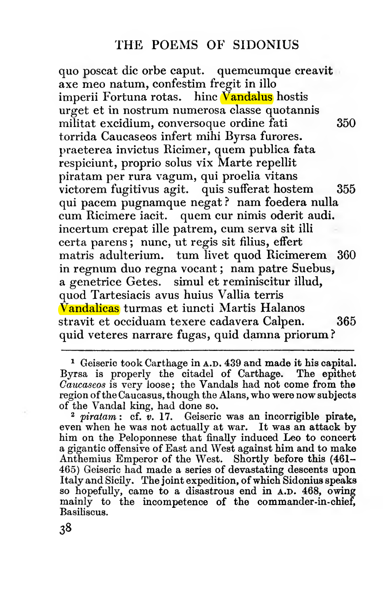quo poscat die orbe caput, quemcumque creavit axe meo natum, eonfestim fregit in illo imperii Fortuna rotas. hinc Vandalus hostis urget et in nostrum numerosa classe quotannis militat excidium, conversoque ordine fati 350 torrida Caucaseos infert mihi Byrsa furores, praeterea invietus Ricimer, quem publica fata respiciunt, proprio solus vix Marte repellit piratam per rura vagum, qui proelia vitans victorem fugitivus agit. quis sufferat hostem 355 qui paeem pugnamque negat ? nam foedera nulla cum Ricimere iacit. quem cur nimis oderit audi, incertum crepat ille patrem, cum serva sit illi certa parens ; nunc, ut regis sit filius, effert matris adulterium. tum livet quod Ricimerem 360 in regnum duo regna vocant ; nam patre Suebus, a genetrice Getes. simul et reminiscitur illud, quod Tartesiacis avus huius Vallia terris <mark>Vandalicas</mark> turmas et iuncti Martis Halanos<br>stravit et occiduam texere cadavera Calpen. 365 stravit et occiduam texere cadavera Calpen. quid veteres narrare fugas, quid damna priorum?

<sup>1</sup> Geiseric took Carthage in A.D. 439 and made it his capital. Byrsa is properly the citadel of Carthage. The epithet Caucaseos is very loose; the Vandals had not come from the region of the Caucasus, though the Alans, who were now subjects of the Vandal king, had done so.

 $2$  piratam : cf.  $v$ . 17. Geiseric was an incorrigible pirate, even when he was not actually at war. It was an attack by him on the Peloponnese that finally induced Leo to concert a gigantic offensive of East and West against him and to make Anthemius Emperor of the West. Shortly before this (461- 465) Geiseric had made a series of devastating descents upon Italy and Sicily. The joint expedition, of which Sidonius speaks so hopefully, came to a disastrous end in A.D. 468, owing mainly to the incompetence of the commander-in-chief, Basiliscus.

38